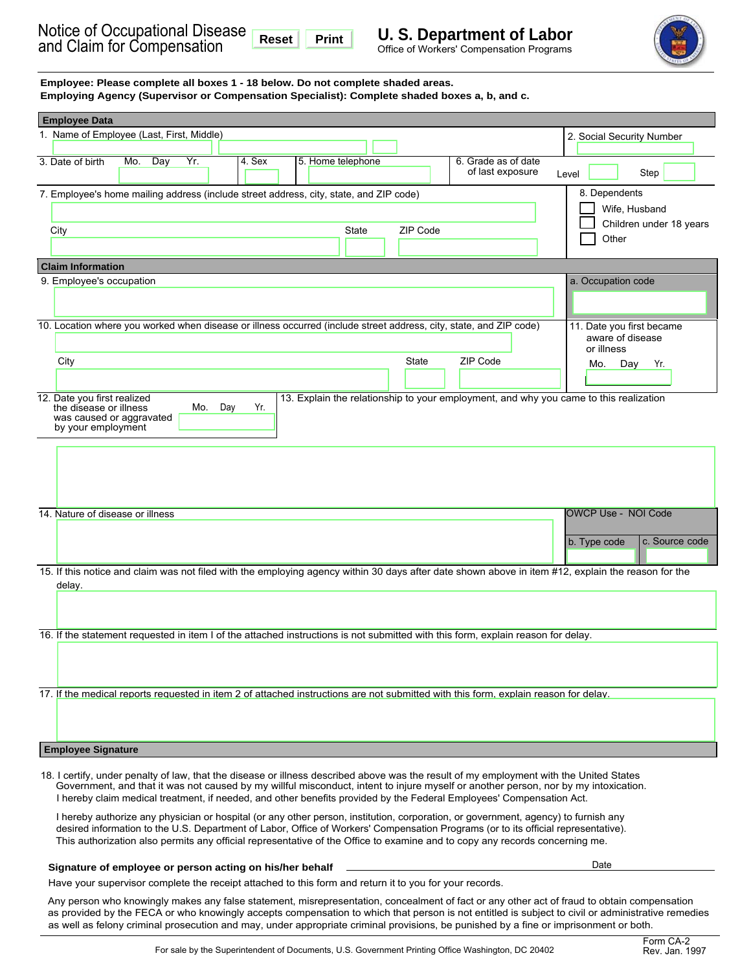

| Employee: Please complete all boxes 1 - 18 below. Do not complete shaded areas.<br>Employing Agency (Supervisor or Compensation Specialist): Complete shaded boxes a, b, and c.                                                                                                                                                                                                                                                                                                                                                                                                                                                                                                                                                                                                                                   |                                                                                  |  |  |  |  |
|-------------------------------------------------------------------------------------------------------------------------------------------------------------------------------------------------------------------------------------------------------------------------------------------------------------------------------------------------------------------------------------------------------------------------------------------------------------------------------------------------------------------------------------------------------------------------------------------------------------------------------------------------------------------------------------------------------------------------------------------------------------------------------------------------------------------|----------------------------------------------------------------------------------|--|--|--|--|
| <b>Employee Data</b>                                                                                                                                                                                                                                                                                                                                                                                                                                                                                                                                                                                                                                                                                                                                                                                              |                                                                                  |  |  |  |  |
| 1. Name of Employee (Last, First, Middle)                                                                                                                                                                                                                                                                                                                                                                                                                                                                                                                                                                                                                                                                                                                                                                         | 2. Social Security Number                                                        |  |  |  |  |
| Mo. Day<br>Yr.<br>4. Sex<br>5. Home telephone<br>3. Date of birth<br>6. Grade as of date<br>of last exposure                                                                                                                                                                                                                                                                                                                                                                                                                                                                                                                                                                                                                                                                                                      | Step<br>Level                                                                    |  |  |  |  |
| 7. Employee's home mailing address (include street address, city, state, and ZIP code)<br>ZIP Code<br>City<br>State                                                                                                                                                                                                                                                                                                                                                                                                                                                                                                                                                                                                                                                                                               | 8. Dependents<br>Wife, Husband<br>Children under 18 years<br>Other               |  |  |  |  |
| <b>Claim Information</b>                                                                                                                                                                                                                                                                                                                                                                                                                                                                                                                                                                                                                                                                                                                                                                                          |                                                                                  |  |  |  |  |
| 9. Employee's occupation                                                                                                                                                                                                                                                                                                                                                                                                                                                                                                                                                                                                                                                                                                                                                                                          | a. Occupation code                                                               |  |  |  |  |
| 10. Location where you worked when disease or illness occurred (include street address, city, state, and ZIP code)<br><b>State</b><br>ZIP Code<br>City                                                                                                                                                                                                                                                                                                                                                                                                                                                                                                                                                                                                                                                            | 11. Date you first became<br>aware of disease<br>or illness<br>Mo.<br>Day<br>Yr. |  |  |  |  |
| 12. Date you first realized<br>13. Explain the relationship to your employment, and why you came to this realization<br>Mo. Day<br>Yr.<br>the disease or illness<br>was caused or aggravated<br>by your employment                                                                                                                                                                                                                                                                                                                                                                                                                                                                                                                                                                                                |                                                                                  |  |  |  |  |
|                                                                                                                                                                                                                                                                                                                                                                                                                                                                                                                                                                                                                                                                                                                                                                                                                   |                                                                                  |  |  |  |  |
| 14. Nature of disease or illness                                                                                                                                                                                                                                                                                                                                                                                                                                                                                                                                                                                                                                                                                                                                                                                  | OWCP Use - NOI Code<br>b. Type code<br>c. Source code                            |  |  |  |  |
| 15. If this notice and claim was not filed with the employing agency within 30 days after date shown above in item #12, explain the reason for the                                                                                                                                                                                                                                                                                                                                                                                                                                                                                                                                                                                                                                                                |                                                                                  |  |  |  |  |
| delay.                                                                                                                                                                                                                                                                                                                                                                                                                                                                                                                                                                                                                                                                                                                                                                                                            |                                                                                  |  |  |  |  |
| 16. If the statement requested in item I of the attached instructions is not submitted with this form, explain reason for delay.                                                                                                                                                                                                                                                                                                                                                                                                                                                                                                                                                                                                                                                                                  |                                                                                  |  |  |  |  |
| 17. If the medical reports requested in item 2 of attached instructions are not submitted with this form, explain reason for delay.                                                                                                                                                                                                                                                                                                                                                                                                                                                                                                                                                                                                                                                                               |                                                                                  |  |  |  |  |
| <b>Employee Signature</b>                                                                                                                                                                                                                                                                                                                                                                                                                                                                                                                                                                                                                                                                                                                                                                                         |                                                                                  |  |  |  |  |
| 18. I certify, under penalty of law, that the disease or illness described above was the result of my employment with the United States<br>Government, and that it was not caused by my willful misconduct, intent to injure myself or another person, nor by my intoxication.<br>I hereby claim medical treatment, if needed, and other benefits provided by the Federal Employees' Compensation Act.<br>I hereby authorize any physician or hospital (or any other person, institution, corporation, or government, agency) to furnish any<br>desired information to the U.S. Department of Labor, Office of Workers' Compensation Programs (or to its official representative).<br>This authorization also permits any official representative of the Office to examine and to copy any records concerning me. |                                                                                  |  |  |  |  |

# **Signature of employee or person acting on his/her behalf** 2000 Date Date Date Date Date

Have your supervisor complete the receipt attached to this form and return it to you for your records.

Any person who knowingly makes any false statement, misrepresentation, concealment of fact or any other act of fraud to obtain compensation as provided by the FECA or who knowingly accepts compensation to which that person is not entitled is subject to civil or administrative remedies as well as felony criminal prosecution and may, under appropriate criminal provisions, be punished by a fine or imprisonment or both.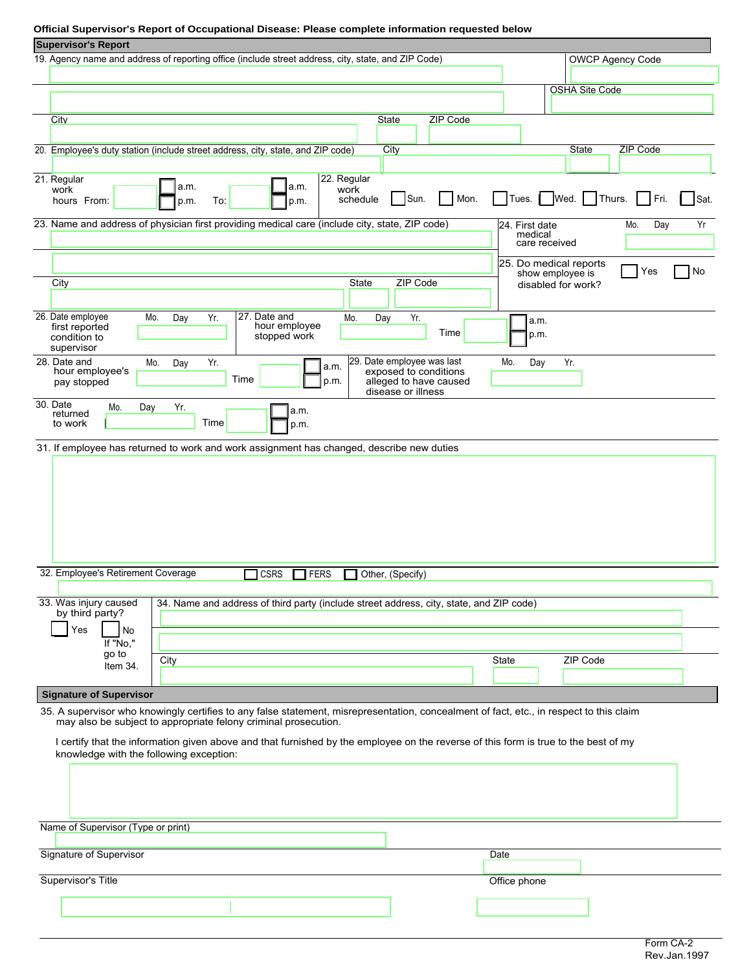# **Official Supervisor's Report of Occupational Disease: Please complete information requested below**

| <b>Supervisor's Report</b>                                                                                                                                                                                 |                          |                                            |                         |
|------------------------------------------------------------------------------------------------------------------------------------------------------------------------------------------------------------|--------------------------|--------------------------------------------|-------------------------|
| 19. Agency name and address of reporting office (include street address, city, state, and ZIP Code)                                                                                                        |                          |                                            | <b>OWCP Agency Code</b> |
|                                                                                                                                                                                                            |                          |                                            |                         |
|                                                                                                                                                                                                            |                          | <b>OSHA Site Code</b>                      |                         |
|                                                                                                                                                                                                            |                          |                                            |                         |
| ZIP Code<br>City<br><b>State</b>                                                                                                                                                                           |                          |                                            |                         |
|                                                                                                                                                                                                            |                          |                                            |                         |
| 20. Employee's duty station (include street address, city, state, and ZIP code)<br>City                                                                                                                    |                          | <b>State</b>                               | ZIP Code                |
|                                                                                                                                                                                                            |                          |                                            |                         |
| 21. Regular<br>22. Regular<br>a.m.<br>a.m.                                                                                                                                                                 |                          |                                            |                         |
| work<br>work<br>Sun.<br>Mon.<br>schedule<br>hours From:<br>p.m.<br>To:<br>p.m.                                                                                                                             |                          | Tues   Wed   Thurs                         | Fri.<br>Sat.            |
| 23. Name and address of physician first providing medical care (include city, state, ZIP code)                                                                                                             | 24. First date           |                                            | Yr<br>Mo.<br>Day        |
|                                                                                                                                                                                                            | medical<br>care received |                                            |                         |
|                                                                                                                                                                                                            |                          |                                            |                         |
|                                                                                                                                                                                                            |                          | 25. Do medical reports<br>show employee is | No<br>Yes               |
| ZIP Code<br>State<br>City                                                                                                                                                                                  |                          | disabled for work?                         |                         |
|                                                                                                                                                                                                            |                          |                                            |                         |
| 26. Date employee<br>Mo.<br>27. Date and<br>Yr.<br>Day<br>Mo.<br>Day<br>Yr.                                                                                                                                | a.m.                     |                                            |                         |
| hour employee<br>first reported<br>Time<br>stopped work<br>condition to<br>supervisor                                                                                                                      | p.m.                     |                                            |                         |
| 28. Date and<br>29. Date employee was last<br>Mo.<br>Yr.<br>Day<br>a.m.                                                                                                                                    | Mo.<br>Day               | Yr.                                        |                         |
| hour employee's<br>exposed to conditions<br>Time<br>alleged to have caused<br>p.m.<br>pay stopped<br>disease or illness                                                                                    |                          |                                            |                         |
| 30. Date<br>Yr.<br>Mo.<br>Day                                                                                                                                                                              |                          |                                            |                         |
| a.m.<br>returned<br>Time<br>to work<br>p.m.                                                                                                                                                                |                          |                                            |                         |
| 31. If employee has returned to work and work assignment has changed, describe new duties                                                                                                                  |                          |                                            |                         |
|                                                                                                                                                                                                            |                          |                                            |                         |
| 32. Employee's Retirement Coverage<br><b>CSRS</b><br>FERS<br>Other, (Specify)                                                                                                                              |                          |                                            |                         |
|                                                                                                                                                                                                            |                          |                                            |                         |
| 33. Was injury caused<br>34. Name and address of third party (include street address, city, state, and ZIP code)<br>by third party?                                                                        |                          |                                            |                         |
| Yes<br>No                                                                                                                                                                                                  |                          |                                            |                         |
| If "No,"                                                                                                                                                                                                   |                          |                                            |                         |
| go to<br>City                                                                                                                                                                                              | State                    | ZIP Code                                   |                         |
| Item 34.                                                                                                                                                                                                   |                          |                                            |                         |
|                                                                                                                                                                                                            |                          |                                            |                         |
| <b>Signature of Supervisor</b>                                                                                                                                                                             |                          |                                            |                         |
| 35. A supervisor who knowingly certifies to any false statement, misrepresentation, concealment of fact, etc., in respect to this claim<br>may also be subject to appropriate felony criminal prosecution. |                          |                                            |                         |
|                                                                                                                                                                                                            |                          |                                            |                         |
| I certify that the information given above and that furnished by the employee on the reverse of this form is true to the best of my<br>knowledge with the following exception:                             |                          |                                            |                         |
|                                                                                                                                                                                                            |                          |                                            |                         |
|                                                                                                                                                                                                            |                          |                                            |                         |
|                                                                                                                                                                                                            |                          |                                            |                         |
|                                                                                                                                                                                                            |                          |                                            |                         |
| Name of Supervisor (Type or print)                                                                                                                                                                         |                          |                                            |                         |
|                                                                                                                                                                                                            |                          |                                            |                         |
| Signature of Supervisor                                                                                                                                                                                    | Date                     |                                            |                         |
|                                                                                                                                                                                                            |                          |                                            |                         |
| Supervisor's Title                                                                                                                                                                                         | Office phone             |                                            |                         |
|                                                                                                                                                                                                            |                          |                                            |                         |
|                                                                                                                                                                                                            |                          |                                            |                         |
|                                                                                                                                                                                                            |                          |                                            |                         |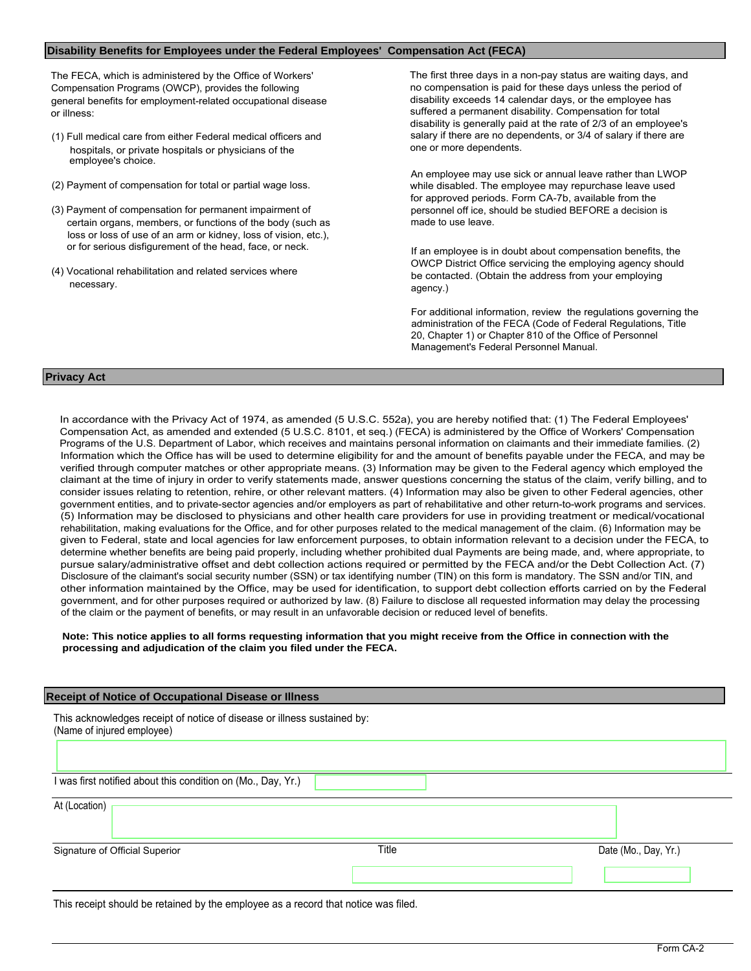# **Disability Benefits for Employees under the Federal Employees' Compensation Act (FECA)**

The FECA, which is administered by the Office of Workers' Compensation Programs (OWCP), provides the following general benefits for employment-related occupational disease or illness:

- (1) Full medical care from either Federal medical officers and hospitals, or private hospitals or physicians of the employee's choice.
- (2) Payment of compensation for total or partial wage loss.
- (3) Payment of compensation for permanent impairment of certain organs, members, or functions of the body (such as loss or loss of use of an arm or kidney, loss of vision, etc.), or for serious disfigurement of the head, face, or neck. If an employee is in doubt about compensation benefits, the
- (4) Vocational rehabilitation and related services where necessary.

An employee may use sick or annual leave rather than LWOP while disabled. The employee may repurchase leave used for approved periods. Form CA-7b, available from the personnel off ice, should be studied BEFORE a decision is made to use leave.

OWCP District Office servicing the employing agency should

For additional information, review the regulations governing the

### **Privacy Act**

At (Location)

In accordance with the Privacy Act of 1974, as amended (5 U.S.C. 552a), you are hereby notified that: (1) The Federal Employees' Compensation Act, as amended and extended (5 U.S.C. 8101, et seq.) (FECA) is administered by the Office of Workers' Compensation Programs of the U.S. Department of Labor, which receives and maintains personal information on claimants and their immediate families. (2) Information which the Office has will be used to determine eligibility for and the amount of benefits payable under the FECA, and may be verified through computer matches or other appropriate means. (3) Information may be given to the Federal agency which employed the claimant at the time of injury in order to verify statements made, answer questions concerning the status of the claim, verify billing, and to consider issues relating to retention, rehire, or other relevant matters. (4) Information may also be given to other Federal agencies, other government entities, and to private-sector agencies and/or employers as part of rehabilitative and other return-to-work programs and services. (5) Information may be disclosed to physicians and other health care providers for use in providing treatment or medical/vocational rehabilitation, making evaluations for the Office, and for other purposes related to the medical management of the claim. (6) Information may be given to Federal, state and local agencies for law enforcement purposes, to obtain information relevant to a decision under the FECA, to determine whether benefits are being paid properly, including whether prohibited dual Payments are being made, and, where appropriate, to pursue salary/administrative offset and debt collection actions required or permitted by the FECA and/or the Debt Collection Act. (7) Disclosure of the claimant's social security number (SSN) or tax identifying number (TIN) on this form is mandatory. The SSN and/or TIN, and other information maintained by the Office, may be used for identification, to support debt collection efforts carried on by the Federal government, and for other purposes required or authorized by law. (8) Failure to disclose all requested information may delay the processing of the claim or the payment of benefits, or may result in an unfavorable decision or reduced level of benefits.

#### **Note: This notice applies to all forms requesting information that you might receive from the Office in connection with the processing and adjudication of the claim you filed under the FECA.**

#### **Receipt of Notice of Occupational Disease or Illness**

This acknowledges receipt of notice of disease or illness sustained by: (Name of injured employee)

I was first notified about this condition on (Mo., Day, Yr.)

| The first three days in a non-pay status are waiting days, and   |
|------------------------------------------------------------------|
| no compensation is paid for these days unless the period of      |
| disability exceeds 14 calendar days, or the employee has         |
| suffered a permanent disability. Compensation for total          |
| disability is generally paid at the rate of 2/3 of an employee's |
| salary if there are no dependents, or 3/4 of salary if there are |
| one or more dependents.                                          |
|                                                                  |

be contacted. (Obtain the address from your employing agency.)

administration of the FECA (Code of Federal Regulations, Title 20, Chapter 1) or Chapter 810 of the Office of Personnel Management's Federal Personnel Manual.

Signature of Official Superior Title Date (Mo., Day, Yr.)

This receipt should be retained by the employee as a record that notice was filed.